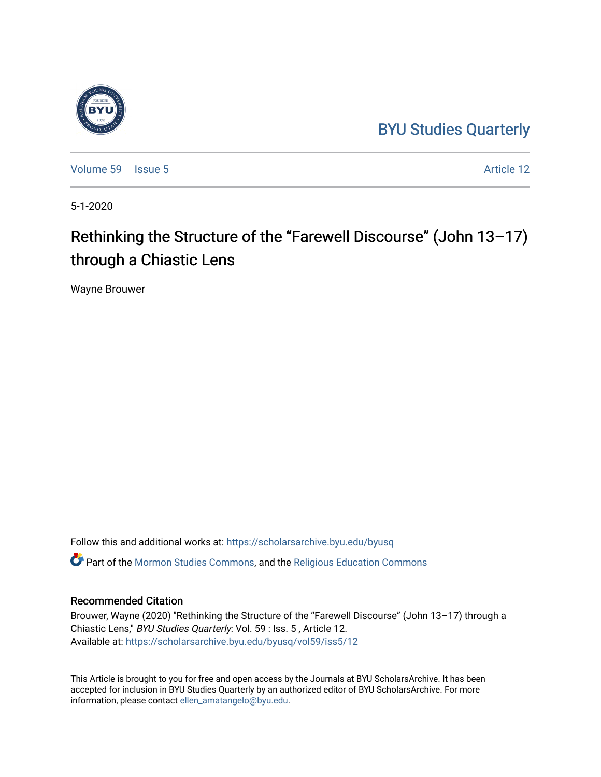# [BYU Studies Quarterly](https://scholarsarchive.byu.edu/byusq)

[Volume 59](https://scholarsarchive.byu.edu/byusq/vol59) | [Issue 5](https://scholarsarchive.byu.edu/byusq/vol59/iss5) Article 12

5-1-2020

# Rethinking the Structure of the "Farewell Discourse" (John 13–17) through a Chiastic Lens

Wayne Brouwer

Follow this and additional works at: [https://scholarsarchive.byu.edu/byusq](https://scholarsarchive.byu.edu/byusq?utm_source=scholarsarchive.byu.edu%2Fbyusq%2Fvol59%2Fiss5%2F12&utm_medium=PDF&utm_campaign=PDFCoverPages)  Part of the [Mormon Studies Commons](http://network.bepress.com/hgg/discipline/1360?utm_source=scholarsarchive.byu.edu%2Fbyusq%2Fvol59%2Fiss5%2F12&utm_medium=PDF&utm_campaign=PDFCoverPages), and the [Religious Education Commons](http://network.bepress.com/hgg/discipline/1414?utm_source=scholarsarchive.byu.edu%2Fbyusq%2Fvol59%2Fiss5%2F12&utm_medium=PDF&utm_campaign=PDFCoverPages) 

## Recommended Citation

Brouwer, Wayne (2020) "Rethinking the Structure of the "Farewell Discourse" (John 13–17) through a Chiastic Lens," BYU Studies Quarterly: Vol. 59 : Iss. 5 , Article 12. Available at: [https://scholarsarchive.byu.edu/byusq/vol59/iss5/12](https://scholarsarchive.byu.edu/byusq/vol59/iss5/12?utm_source=scholarsarchive.byu.edu%2Fbyusq%2Fvol59%2Fiss5%2F12&utm_medium=PDF&utm_campaign=PDFCoverPages) 

This Article is brought to you for free and open access by the Journals at BYU ScholarsArchive. It has been accepted for inclusion in BYU Studies Quarterly by an authorized editor of BYU ScholarsArchive. For more information, please contact [ellen\\_amatangelo@byu.edu.](mailto:ellen_amatangelo@byu.edu)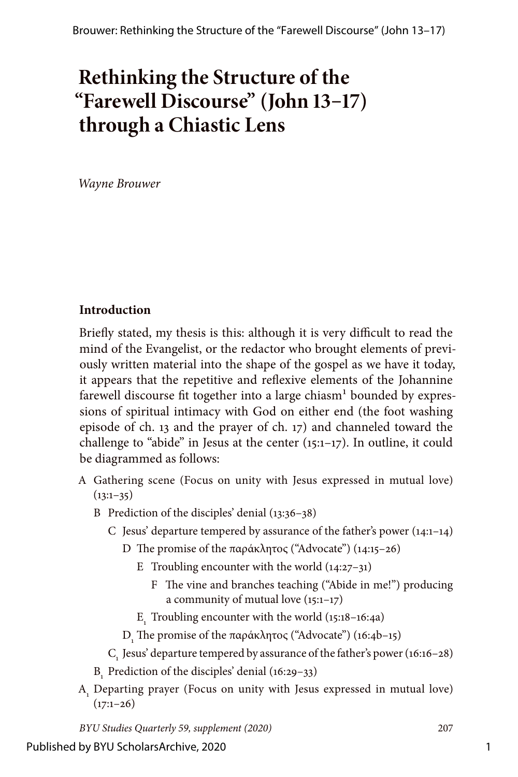# **Rethinking the Structure of the "Farewell Discourse" (John 13–17) through a Chiastic Lens**

*Wayne Brouwer*

# **Introduction**

Briefly stated, my thesis is this: although it is very difficult to read the mind of the Evangelist, or the redactor who brought elements of previously written material into the shape of the gospel as we have it today, it appears that the repetitive and reflexive elements of the Johannine farewell discourse fit together into a large chiasm<sup>1</sup> bounded by expressions of spiritual intimacy with God on either end (the foot washing episode of ch. 13 and the prayer of ch. 17) and channeled toward the challenge to "abide" in Jesus at the center (15:1–17). In outline, it could be diagrammed as follows:

- A Gathering scene (Focus on unity with Jesus expressed in mutual love)  $(13:1-35)$ 
	- B Prediction of the disciples' denial (13:36–38)
		- C Jesus' departure tempered by assurance of the father's power (14:1–14)
			- D The promise of the παράκλητος ("Advocate") (14:15–26)
				- E Troubling encounter with the world  $(14:27-31)$ 
					- F The vine and branches teaching ("Abide in me!") producing a community of mutual love (15:1–17)
				- E<sub>1</sub> Troubling encounter with the world  $(15:18-16:4a)$
			- D<sub>1</sub> The promise of the παράκλητος ("Advocate") (16:4b–15)
		- C<sub>1</sub> Jesus' departure tempered by assurance of the father's power (16:16–28)
	- B<sub>1</sub> Prediction of the disciples' denial  $(16:29-33)$
- A1 Departing prayer (Focus on unity with Jesus expressed in mutual love)  $(17:1-26)$

*BYU Studies Quarterly 59, supplement (2020)* 207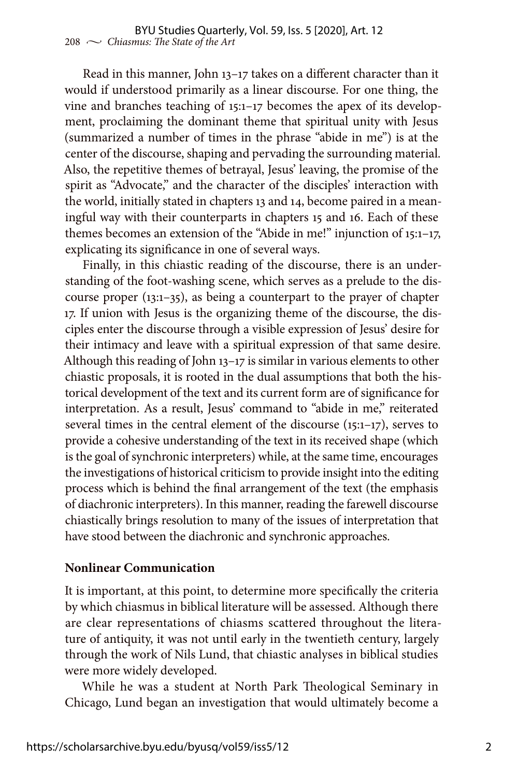Read in this manner, John 13–17 takes on a different character than it would if understood primarily as a linear discourse. For one thing, the vine and branches teaching of 15:1–17 becomes the apex of its development, proclaiming the dominant theme that spiritual unity with Jesus (summarized a number of times in the phrase "abide in me") is at the center of the discourse, shaping and pervading the surrounding material. Also, the repetitive themes of betrayal, Jesus' leaving, the promise of the spirit as "Advocate," and the character of the disciples' interaction with the world, initially stated in chapters 13 and 14, become paired in a meaningful way with their counterparts in chapters 15 and 16. Each of these themes becomes an extension of the "Abide in me!" injunction of 15:1–17, explicating its significance in one of several ways.

Finally, in this chiastic reading of the discourse, there is an understanding of the foot-washing scene, which serves as a prelude to the discourse proper (13:1–35), as being a counterpart to the prayer of chapter 17. If union with Jesus is the organizing theme of the discourse, the disciples enter the discourse through a visible expression of Jesus' desire for their intimacy and leave with a spiritual expression of that same desire. Although this reading of John 13–17 is similar in various elements to other chiastic proposals, it is rooted in the dual assumptions that both the historical development of the text and its current form are of significance for interpretation. As a result, Jesus' command to "abide in me," reiterated several times in the central element of the discourse (15:1–17), serves to provide a cohesive understanding of the text in its received shape (which is the goal of synchronic interpreters) while, at the same time, encourages the investigations of historical criticism to provide insight into the editing process which is behind the final arrangement of the text (the emphasis of diachronic interpreters). In this manner, reading the farewell discourse chiastically brings resolution to many of the issues of interpretation that have stood between the diachronic and synchronic approaches.

### **Nonlinear Communication**

It is important, at this point, to determine more specifically the criteria by which chiasmus in biblical literature will be assessed. Although there are clear representations of chiasms scattered throughout the literature of antiquity, it was not until early in the twentieth century, largely through the work of Nils Lund, that chiastic analyses in biblical studies were more widely developed.

While he was a student at North Park Theological Seminary in Chicago, Lund began an investigation that would ultimately become a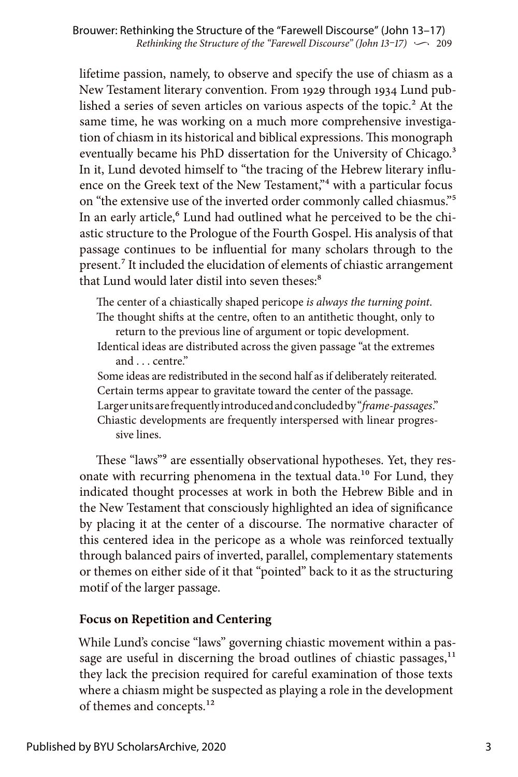lifetime passion, namely, to observe and specify the use of chiasm as a New Testament literary convention. From 1929 through 1934 Lund published a series of seven articles on various aspects of the topic.<sup>2</sup> At the same time, he was working on a much more comprehensive investigation of chiasm in its historical and biblical expressions. This monograph eventually became his PhD dissertation for the University of Chicago.<sup>3</sup> In it, Lund devoted himself to "the tracing of the Hebrew literary influence on the Greek text of the New Testament,"4 with a particular focus on "the extensive use of the inverted order commonly called chiasmus."5 In an early article,<sup>6</sup> Lund had outlined what he perceived to be the chiastic structure to the Prologue of the Fourth Gospel. His analysis of that passage continues to be influential for many scholars through to the present.7 It included the elucidation of elements of chiastic arrangement that Lund would later distil into seven theses:<sup>8</sup>

The center of a chiastically shaped pericope *is always the turning point*. The thought shifts at the centre, often to an antithetic thought, only to

- return to the previous line of argument or topic development. Identical ideas are distributed across the given passage "at the extremes and . . . centre."
- Some ideas are redistributed in the second half as if deliberately reiterated. Certain terms appear to gravitate toward the center of the passage.
- Larger units are frequently introduced and concluded by "*frame-passages*."
- Chiastic developments are frequently interspersed with linear progressive lines.

These "laws"9 are essentially observational hypotheses. Yet, they resonate with recurring phenomena in the textual data.<sup>10</sup> For Lund, they indicated thought processes at work in both the Hebrew Bible and in the New Testament that consciously highlighted an idea of significance by placing it at the center of a discourse. The normative character of this centered idea in the pericope as a whole was reinforced textually through balanced pairs of inverted, parallel, complementary statements or themes on either side of it that "pointed" back to it as the structuring motif of the larger passage.

# **Focus on Repetition and Centering**

While Lund's concise "laws" governing chiastic movement within a passage are useful in discerning the broad outlines of chiastic passages, $<sup>11</sup>$ </sup> they lack the precision required for careful examination of those texts where a chiasm might be suspected as playing a role in the development of themes and concepts.12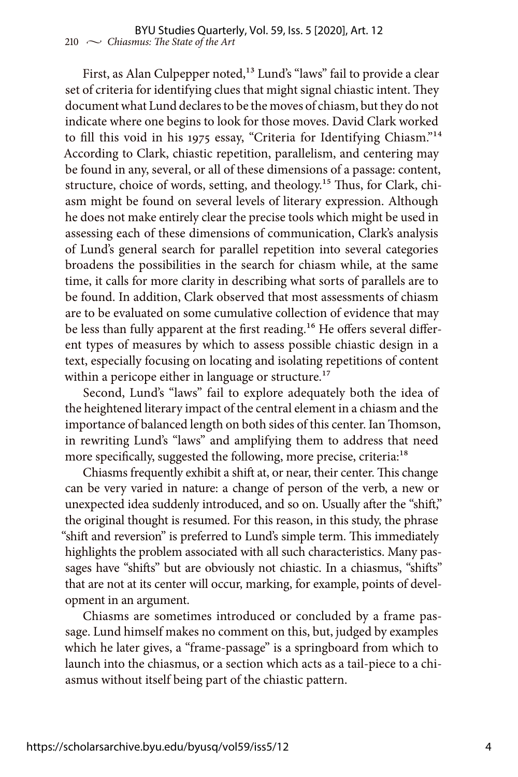First, as Alan Culpepper noted,<sup>13</sup> Lund's "laws" fail to provide a clear set of criteria for identifying clues that might signal chiastic intent. They document what Lund declares to be the moves of chiasm, but they do not indicate where one begins to look for those moves. David Clark worked to fill this void in his 1975 essay, "Criteria for Identifying Chiasm."14 According to Clark, chiastic repetition, parallelism, and centering may be found in any, several, or all of these dimensions of a passage: content, structure, choice of words, setting, and theology.<sup>15</sup> Thus, for Clark, chiasm might be found on several levels of literary expression. Although he does not make entirely clear the precise tools which might be used in assessing each of these dimensions of communication, Clark's analysis of Lund's general search for parallel repetition into several categories broadens the possibilities in the search for chiasm while, at the same time, it calls for more clarity in describing what sorts of parallels are to be found. In addition, Clark observed that most assessments of chiasm are to be evaluated on some cumulative collection of evidence that may be less than fully apparent at the first reading.<sup>16</sup> He offers several different types of measures by which to assess possible chiastic design in a text, especially focusing on locating and isolating repetitions of content within a pericope either in language or structure.<sup>17</sup>

Second, Lund's "laws" fail to explore adequately both the idea of the heightened literary impact of the central element in a chiasm and the importance of balanced length on both sides of this center. Ian Thomson, in rewriting Lund's "laws" and amplifying them to address that need more specifically, suggested the following, more precise, criteria:<sup>18</sup>

Chiasms frequently exhibit a shift at, or near, their center. This change can be very varied in nature: a change of person of the verb, a new or unexpected idea suddenly introduced, and so on. Usually after the "shift," the original thought is resumed. For this reason, in this study, the phrase "shift and reversion" is preferred to Lund's simple term. This immediately highlights the problem associated with all such characteristics. Many passages have "shifts" but are obviously not chiastic. In a chiasmus, "shifts" that are not at its center will occur, marking, for example, points of development in an argument.

Chiasms are sometimes introduced or concluded by a frame passage. Lund himself makes no comment on this, but, judged by examples which he later gives, a "frame-passage" is a springboard from which to launch into the chiasmus, or a section which acts as a tail-piece to a chiasmus without itself being part of the chiastic pattern.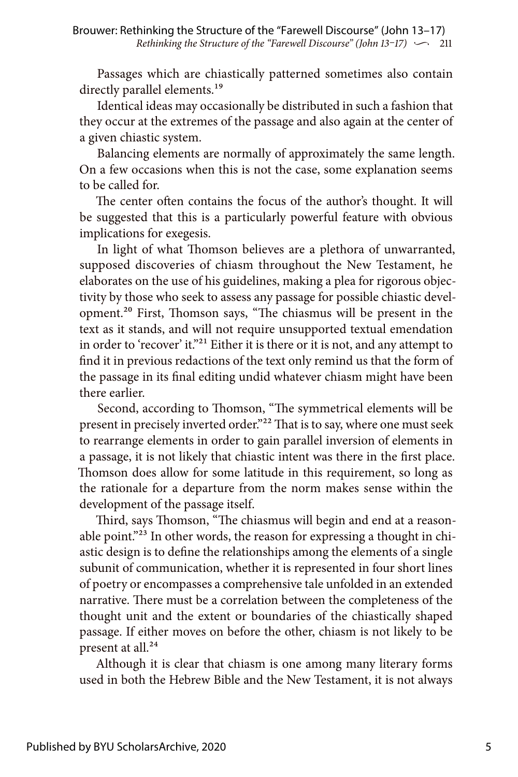Passages which are chiastically patterned sometimes also contain directly parallel elements.<sup>19</sup>

Identical ideas may occasionally be distributed in such a fashion that they occur at the extremes of the passage and also again at the center of a given chiastic system.

Balancing elements are normally of approximately the same length. On a few occasions when this is not the case, some explanation seems to be called for.

The center often contains the focus of the author's thought. It will be suggested that this is a particularly powerful feature with obvious implications for exegesis.

In light of what Thomson believes are a plethora of unwarranted, supposed discoveries of chiasm throughout the New Testament, he elaborates on the use of his guidelines, making a plea for rigorous objectivity by those who seek to assess any passage for possible chiastic development.20 First, Thomson says, "The chiasmus will be present in the text as it stands, and will not require unsupported textual emendation in order to 'recover' it."<sup>21</sup> Either it is there or it is not, and any attempt to find it in previous redactions of the text only remind us that the form of the passage in its final editing undid whatever chiasm might have been there earlier.

Second, according to Thomson, "The symmetrical elements will be present in precisely inverted order."22 That is to say, where one must seek to rearrange elements in order to gain parallel inversion of elements in a passage, it is not likely that chiastic intent was there in the first place. Thomson does allow for some latitude in this requirement, so long as the rationale for a departure from the norm makes sense within the development of the passage itself.

Third, says Thomson, "The chiasmus will begin and end at a reasonable point."<sup>23</sup> In other words, the reason for expressing a thought in chiastic design is to define the relationships among the elements of a single subunit of communication, whether it is represented in four short lines of poetry or encompasses a comprehensive tale unfolded in an extended narrative. There must be a correlation between the completeness of the thought unit and the extent or boundaries of the chiastically shaped passage. If either moves on before the other, chiasm is not likely to be present at all.<sup>24</sup>

Although it is clear that chiasm is one among many literary forms used in both the Hebrew Bible and the New Testament, it is not always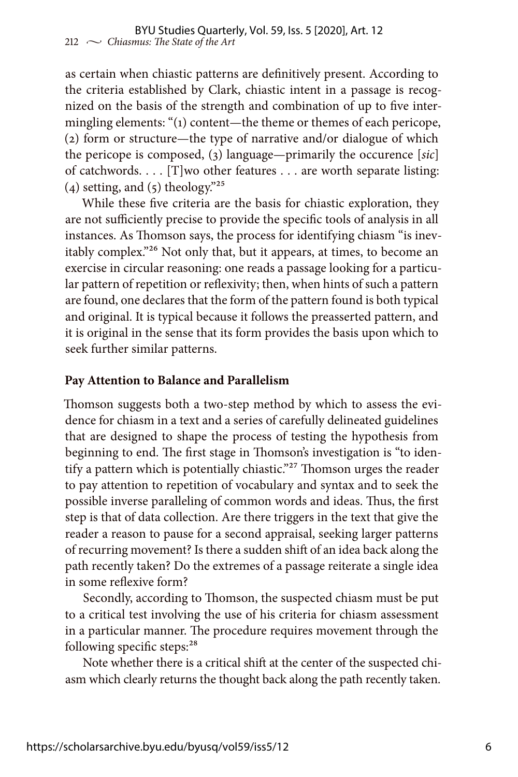as certain when chiastic patterns are definitively present. According to the criteria established by Clark, chiastic intent in a passage is recognized on the basis of the strength and combination of up to five intermingling elements: "(1) content—the theme or themes of each pericope, (2) form or structure—the type of narrative and/or dialogue of which the pericope is composed, (3) language—primarily the occurence [*sic*] of catchwords. . . . [T]wo other features . . . are worth separate listing: (4) setting, and (5) theology."25

While these five criteria are the basis for chiastic exploration, they are not sufficiently precise to provide the specific tools of analysis in all instances. As Thomson says, the process for identifying chiasm "is inevitably complex."26 Not only that, but it appears, at times, to become an exercise in circular reasoning: one reads a passage looking for a particular pattern of repetition or reflexivity; then, when hints of such a pattern are found, one declares that the form of the pattern found is both typical and original. It is typical because it follows the preasserted pattern, and it is original in the sense that its form provides the basis upon which to seek further similar patterns.

### **Pay Attention to Balance and Parallelism**

Thomson suggests both a two-step method by which to assess the evidence for chiasm in a text and a series of carefully delineated guidelines that are designed to shape the process of testing the hypothesis from beginning to end. The first stage in Thomson's investigation is "to identify a pattern which is potentially chiastic."<sup>27</sup> Thomson urges the reader to pay attention to repetition of vocabulary and syntax and to seek the possible inverse paralleling of common words and ideas. Thus, the first step is that of data collection. Are there triggers in the text that give the reader a reason to pause for a second appraisal, seeking larger patterns of recurring movement? Is there a sudden shift of an idea back along the path recently taken? Do the extremes of a passage reiterate a single idea in some reflexive form?

Secondly, according to Thomson, the suspected chiasm must be put to a critical test involving the use of his criteria for chiasm assessment in a particular manner. The procedure requires movement through the following specific steps:<sup>28</sup>

Note whether there is a critical shift at the center of the suspected chiasm which clearly returns the thought back along the path recently taken.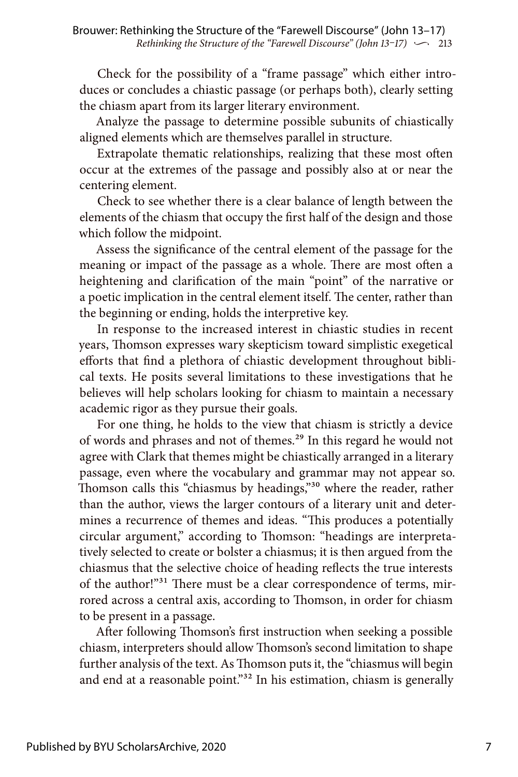Check for the possibility of a "frame passage" which either introduces or concludes a chiastic passage (or perhaps both), clearly setting the chiasm apart from its larger literary environment.

Analyze the passage to determine possible subunits of chiastically aligned elements which are themselves parallel in structure.

Extrapolate thematic relationships, realizing that these most often occur at the extremes of the passage and possibly also at or near the centering element.

Check to see whether there is a clear balance of length between the elements of the chiasm that occupy the first half of the design and those which follow the midpoint.

Assess the significance of the central element of the passage for the meaning or impact of the passage as a whole. There are most often a heightening and clarification of the main "point" of the narrative or a poetic implication in the central element itself. The center, rather than the beginning or ending, holds the interpretive key.

In response to the increased interest in chiastic studies in recent years, Thomson expresses wary skepticism toward simplistic exegetical efforts that find a plethora of chiastic development throughout biblical texts. He posits several limitations to these investigations that he believes will help scholars looking for chiasm to maintain a necessary academic rigor as they pursue their goals.

For one thing, he holds to the view that chiasm is strictly a device of words and phrases and not of themes.29 In this regard he would not agree with Clark that themes might be chiastically arranged in a literary passage, even where the vocabulary and grammar may not appear so. Thomson calls this "chiasmus by headings,"<sup>30</sup> where the reader, rather than the author, views the larger contours of a literary unit and determines a recurrence of themes and ideas. "This produces a potentially circular argument," according to Thomson: "headings are interpretatively selected to create or bolster a chiasmus; it is then argued from the chiasmus that the selective choice of heading reflects the true interests of the author!"31 There must be a clear correspondence of terms, mirrored across a central axis, according to Thomson, in order for chiasm to be present in a passage.

After following Thomson's first instruction when seeking a possible chiasm, interpreters should allow Thomson's second limitation to shape further analysis of the text. As Thomson puts it, the "chiasmus will begin and end at a reasonable point."32 In his estimation, chiasm is generally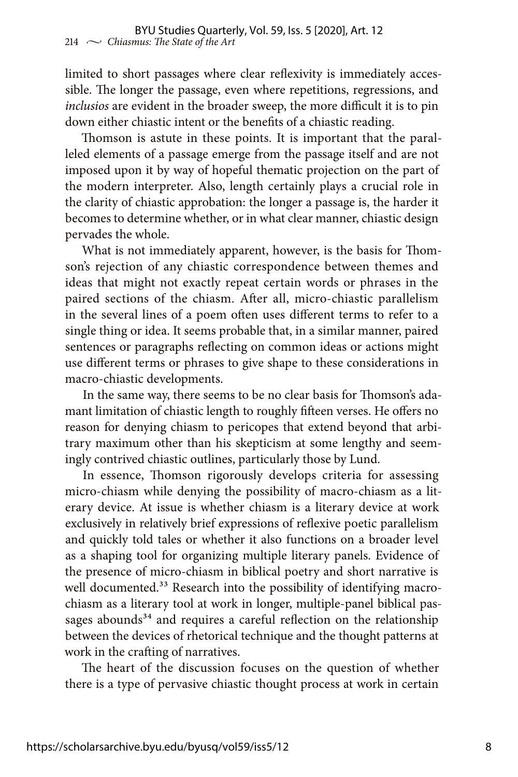limited to short passages where clear reflexivity is immediately accessible. The longer the passage, even where repetitions, regressions, and *inclusios* are evident in the broader sweep, the more difficult it is to pin down either chiastic intent or the benefits of a chiastic reading.

Thomson is astute in these points. It is important that the paralleled elements of a passage emerge from the passage itself and are not imposed upon it by way of hopeful thematic projection on the part of the modern interpreter. Also, length certainly plays a crucial role in the clarity of chiastic approbation: the longer a passage is, the harder it becomes to determine whether, or in what clear manner, chiastic design pervades the whole.

What is not immediately apparent, however, is the basis for Thomson's rejection of any chiastic correspondence between themes and ideas that might not exactly repeat certain words or phrases in the paired sections of the chiasm. After all, micro-chiastic parallelism in the several lines of a poem often uses different terms to refer to a single thing or idea. It seems probable that, in a similar manner, paired sentences or paragraphs reflecting on common ideas or actions might use different terms or phrases to give shape to these considerations in macro-chiastic developments.

In the same way, there seems to be no clear basis for Thomson's adamant limitation of chiastic length to roughly fifteen verses. He offers no reason for denying chiasm to pericopes that extend beyond that arbitrary maximum other than his skepticism at some lengthy and seemingly contrived chiastic outlines, particularly those by Lund.

In essence, Thomson rigorously develops criteria for assessing micro-chiasm while denying the possibility of macro-chiasm as a literary device. At issue is whether chiasm is a literary device at work exclusively in relatively brief expressions of reflexive poetic parallelism and quickly told tales or whether it also functions on a broader level as a shaping tool for organizing multiple literary panels. Evidence of the presence of micro-chiasm in biblical poetry and short narrative is well documented.<sup>33</sup> Research into the possibility of identifying macrochiasm as a literary tool at work in longer, multiple-panel biblical passages abounds<sup>34</sup> and requires a careful reflection on the relationship between the devices of rhetorical technique and the thought patterns at work in the crafting of narratives.

The heart of the discussion focuses on the question of whether there is a type of pervasive chiastic thought process at work in certain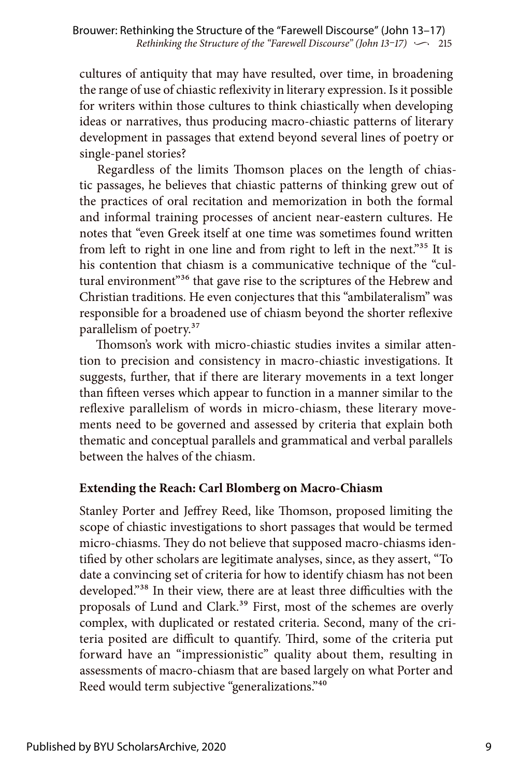cultures of antiquity that may have resulted, over time, in broadening the range of use of chiastic reflexivity in literary expression. Is it possible for writers within those cultures to think chiastically when developing ideas or narratives, thus producing macro-chiastic patterns of literary development in passages that extend beyond several lines of poetry or single-panel stories?

Regardless of the limits Thomson places on the length of chiastic passages, he believes that chiastic patterns of thinking grew out of the practices of oral recitation and memorization in both the formal and informal training processes of ancient near-eastern cultures. He notes that "even Greek itself at one time was sometimes found written from left to right in one line and from right to left in the next."35 It is his contention that chiasm is a communicative technique of the "cultural environment<sup>"36</sup> that gave rise to the scriptures of the Hebrew and Christian traditions. He even conjectures that this "ambilateralism" was responsible for a broadened use of chiasm beyond the shorter reflexive parallelism of poetry.37

Thomson's work with micro-chiastic studies invites a similar attention to precision and consistency in macro-chiastic investigations. It suggests, further, that if there are literary movements in a text longer than fifteen verses which appear to function in a manner similar to the reflexive parallelism of words in micro-chiasm, these literary movements need to be governed and assessed by criteria that explain both thematic and conceptual parallels and grammatical and verbal parallels between the halves of the chiasm.

# **Extending the Reach: Carl Blomberg on Macro-Chiasm**

Stanley Porter and Jeffrey Reed, like Thomson, proposed limiting the scope of chiastic investigations to short passages that would be termed micro-chiasms. They do not believe that supposed macro-chiasms identified by other scholars are legitimate analyses, since, as they assert, "To date a convincing set of criteria for how to identify chiasm has not been developed."38 In their view, there are at least three difficulties with the proposals of Lund and Clark.<sup>39</sup> First, most of the schemes are overly complex, with duplicated or restated criteria. Second, many of the criteria posited are difficult to quantify. Third, some of the criteria put forward have an "impressionistic" quality about them, resulting in assessments of macro-chiasm that are based largely on what Porter and Reed would term subjective "generalizations."40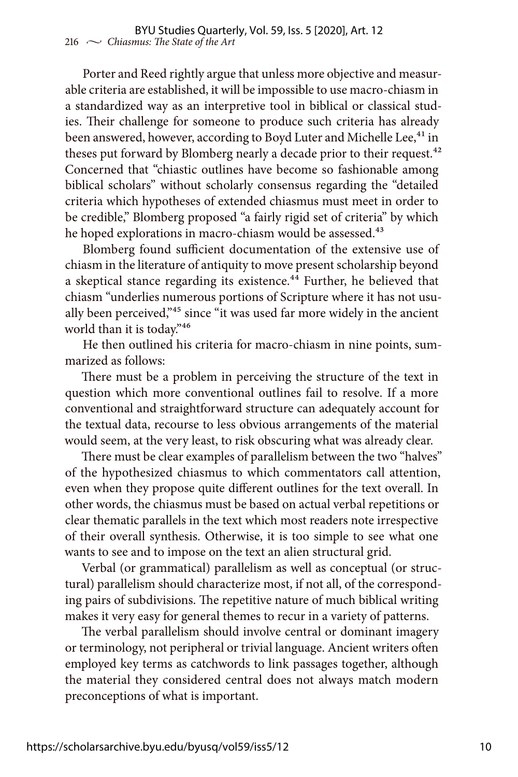Porter and Reed rightly argue that unless more objective and measurable criteria are established, it will be impossible to use macro-chiasm in a standardized way as an interpretive tool in biblical or classical studies. Their challenge for someone to produce such criteria has already been answered, however, according to Boyd Luter and Michelle Lee,<sup>41</sup> in theses put forward by Blomberg nearly a decade prior to their request.<sup>42</sup> Concerned that "chiastic outlines have become so fashionable among biblical scholars" without scholarly consensus regarding the "detailed criteria which hypotheses of extended chiasmus must meet in order to be credible," Blomberg proposed "a fairly rigid set of criteria" by which he hoped explorations in macro-chiasm would be assessed.<sup>43</sup>

Blomberg found sufficient documentation of the extensive use of chiasm in the literature of antiquity to move present scholarship beyond a skeptical stance regarding its existence.<sup>44</sup> Further, he believed that chiasm "underlies numerous portions of Scripture where it has not usually been perceived,"45 since "it was used far more widely in the ancient world than it is today."46

He then outlined his criteria for macro-chiasm in nine points, summarized as follows:

There must be a problem in perceiving the structure of the text in question which more conventional outlines fail to resolve. If a more conventional and straightforward structure can adequately account for the textual data, recourse to less obvious arrangements of the material would seem, at the very least, to risk obscuring what was already clear.

There must be clear examples of parallelism between the two "halves" of the hypothesized chiasmus to which commentators call attention, even when they propose quite different outlines for the text overall. In other words, the chiasmus must be based on actual verbal repetitions or clear thematic parallels in the text which most readers note irrespective of their overall synthesis. Otherwise, it is too simple to see what one wants to see and to impose on the text an alien structural grid.

Verbal (or grammatical) parallelism as well as conceptual (or structural) parallelism should characterize most, if not all, of the corresponding pairs of subdivisions. The repetitive nature of much biblical writing makes it very easy for general themes to recur in a variety of patterns.

The verbal parallelism should involve central or dominant imagery or terminology, not peripheral or trivial language. Ancient writers often employed key terms as catchwords to link passages together, although the material they considered central does not always match modern preconceptions of what is important.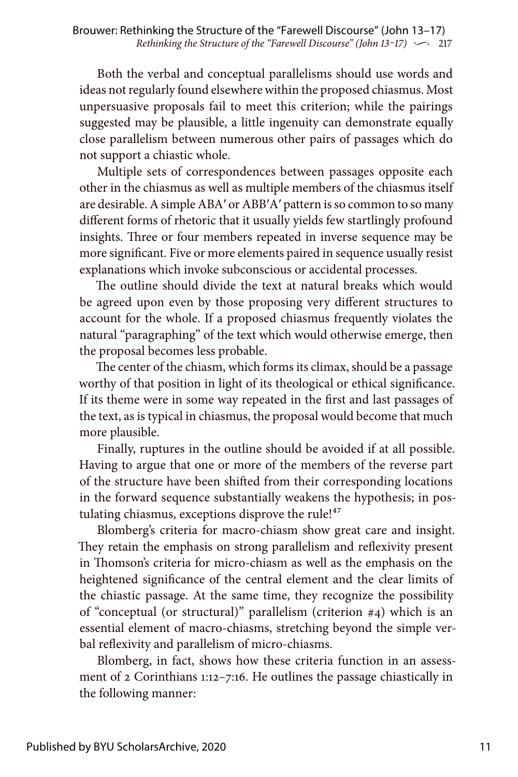Both the verbal and conceptual parallelisms should use words and ideas not regularly found elsewhere within the proposed chiasmus. Most unpersuasive proposals fail to meet this criterion; while the pairings suggested may be plausible, a little ingenuity can demonstrate equally close parallelism between numerous other pairs of passages which do not support a chiastic whole.

Multiple sets of correspondences between passages opposite each other in the chiasmus as well as multiple members of the chiasmus itself are desirable. A simple ABA′ or ABB′A′ pattern is so common to so many different forms of rhetoric that it usually yields few startlingly profound insights. Three or four members repeated in inverse sequence may be more significant. Five or more elements paired in sequence usually resist explanations which invoke subconscious or accidental processes.

The outline should divide the text at natural breaks which would be agreed upon even by those proposing very different structures to account for the whole. If a proposed chiasmus frequently violates the natural "paragraphing" of the text which would otherwise emerge, then the proposal becomes less probable.

The center of the chiasm, which forms its climax, should be a passage worthy of that position in light of its theological or ethical significance. If its theme were in some way repeated in the first and last passages of the text, as is typical in chiasmus, the proposal would become that much more plausible.

Finally, ruptures in the outline should be avoided if at all possible. Having to argue that one or more of the members of the reverse part of the structure have been shifted from their corresponding locations in the forward sequence substantially weakens the hypothesis; in postulating chiasmus, exceptions disprove the rule!<sup>47</sup>

Blomberg's criteria for macro-chiasm show great care and insight. They retain the emphasis on strong parallelism and reflexivity present in Thomson's criteria for micro-chiasm as well as the emphasis on the heightened significance of the central element and the clear limits of the chiastic passage. At the same time, they recognize the possibility of "conceptual (or structural)" parallelism (criterion #4) which is an essential element of macro-chiasms, stretching beyond the simple verbal reflexivity and parallelism of micro-chiasms.

Blomberg, in fact, shows how these criteria function in an assessment of 2 Corinthians 1:12–7:16. He outlines the passage chiastically in the following manner: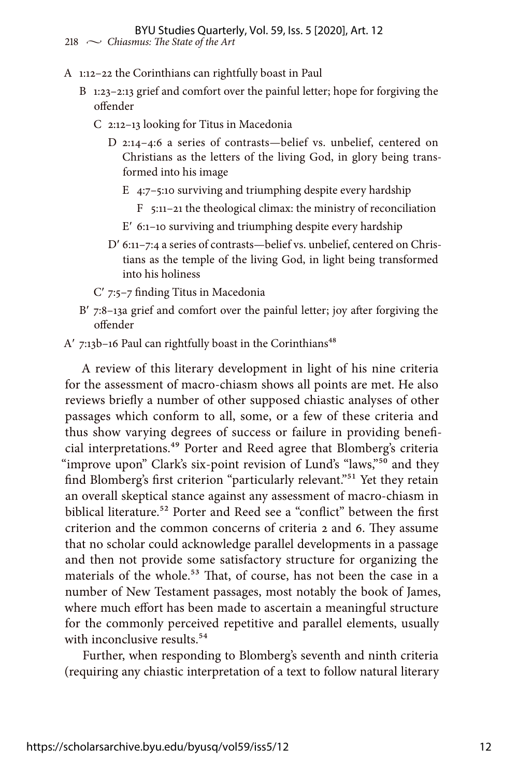#### 218  $\sim$  *Chiasmus: The State of the Art* BYU Studies Quarterly, Vol. 59, Iss. 5 [2020], Art. 12

- A 1:12–22 the Corinthians can rightfully boast in Paul
	- B 1:23–2:13 grief and comfort over the painful letter; hope for forgiving the offender
		- C 2:12–13 looking for Titus in Macedonia
			- D 2:14–4:6 a series of contrasts—belief vs. unbelief, centered on Christians as the letters of the living God, in glory being transformed into his image
				- E 4:7–5:10 surviving and triumphing despite every hardship
					- F 5:11–21 the theological climax: the ministry of reconciliation
				- E′ 6:1–10 surviving and triumphing despite every hardship
			- D' 6:11-7:4 a series of contrasts—belief vs. unbelief, centered on Christians as the temple of the living God, in light being transformed into his holiness
		- C′ 7:5–7 finding Titus in Macedonia
	- B′ 7:8–13a grief and comfort over the painful letter; joy after forgiving the offender
- A' 7:13b-16 Paul can rightfully boast in the Corinthians<sup>48</sup>

A review of this literary development in light of his nine criteria for the assessment of macro-chiasm shows all points are met. He also reviews briefly a number of other supposed chiastic analyses of other passages which conform to all, some, or a few of these criteria and thus show varying degrees of success or failure in providing beneficial interpretations.49 Porter and Reed agree that Blomberg's criteria "improve upon" Clark's six-point revision of Lund's "laws,"<sup>50</sup> and they find Blomberg's first criterion "particularly relevant."51 Yet they retain an overall skeptical stance against any assessment of macro-chiasm in biblical literature.<sup>52</sup> Porter and Reed see a "conflict" between the first criterion and the common concerns of criteria 2 and 6. They assume that no scholar could acknowledge parallel developments in a passage and then not provide some satisfactory structure for organizing the materials of the whole.<sup>53</sup> That, of course, has not been the case in a number of New Testament passages, most notably the book of James, where much effort has been made to ascertain a meaningful structure for the commonly perceived repetitive and parallel elements, usually with inconclusive results.<sup>54</sup>

Further, when responding to Blomberg's seventh and ninth criteria (requiring any chiastic interpretation of a text to follow natural literary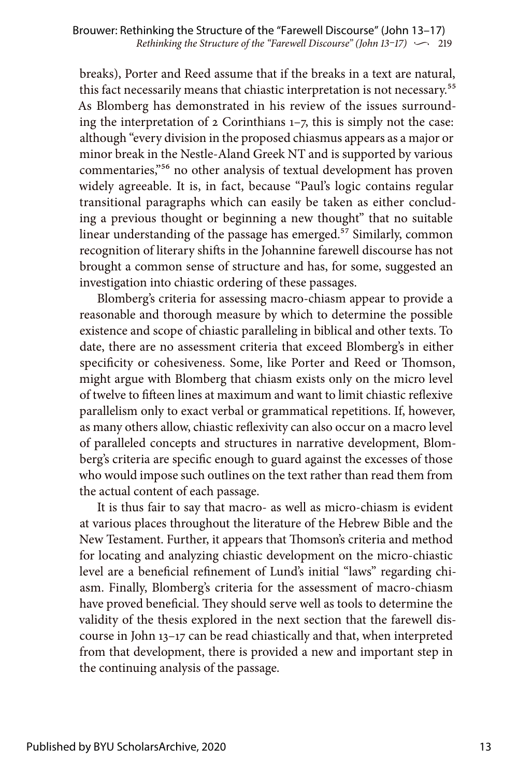breaks), Porter and Reed assume that if the breaks in a text are natural, this fact necessarily means that chiastic interpretation is not necessary.<sup>55</sup> As Blomberg has demonstrated in his review of the issues surrounding the interpretation of  $2$  Corinthians  $1-\overline{7}$ , this is simply not the case: although "every division in the proposed chiasmus appears as a major or minor break in the Nestle-Aland Greek NT and is supported by various commentaries,"56 no other analysis of textual development has proven widely agreeable. It is, in fact, because "Paul's logic contains regular transitional paragraphs which can easily be taken as either concluding a previous thought or beginning a new thought" that no suitable linear understanding of the passage has emerged.<sup>57</sup> Similarly, common recognition of literary shifts in the Johannine farewell discourse has not brought a common sense of structure and has, for some, suggested an investigation into chiastic ordering of these passages.

Blomberg's criteria for assessing macro-chiasm appear to provide a reasonable and thorough measure by which to determine the possible existence and scope of chiastic paralleling in biblical and other texts. To date, there are no assessment criteria that exceed Blomberg's in either specificity or cohesiveness. Some, like Porter and Reed or Thomson, might argue with Blomberg that chiasm exists only on the micro level of twelve to fifteen lines at maximum and want to limit chiastic reflexive parallelism only to exact verbal or grammatical repetitions. If, however, as many others allow, chiastic reflexivity can also occur on a macro level of paralleled concepts and structures in narrative development, Blomberg's criteria are specific enough to guard against the excesses of those who would impose such outlines on the text rather than read them from the actual content of each passage.

It is thus fair to say that macro- as well as micro-chiasm is evident at various places throughout the literature of the Hebrew Bible and the New Testament. Further, it appears that Thomson's criteria and method for locating and analyzing chiastic development on the micro-chiastic level are a beneficial refinement of Lund's initial "laws" regarding chiasm. Finally, Blomberg's criteria for the assessment of macro-chiasm have proved beneficial. They should serve well as tools to determine the validity of the thesis explored in the next section that the farewell discourse in John 13–17 can be read chiastically and that, when interpreted from that development, there is provided a new and important step in the continuing analysis of the passage.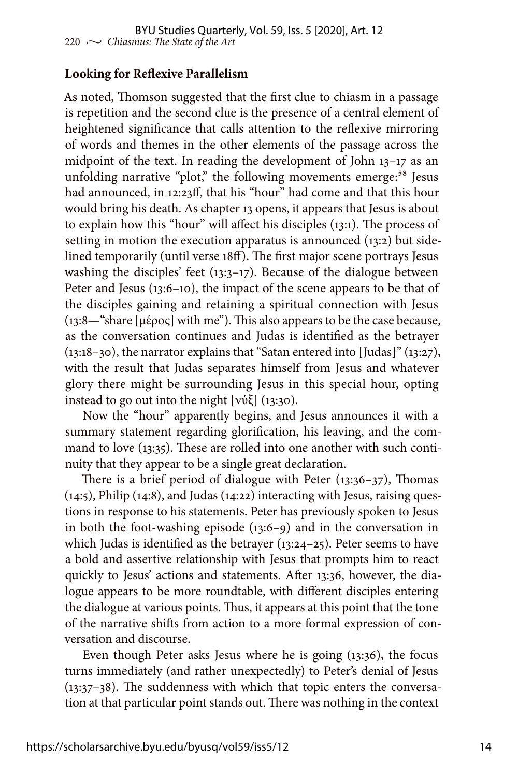## **Looking for Reflexive Parallelism**

As noted, Thomson suggested that the first clue to chiasm in a passage is repetition and the second clue is the presence of a central element of heightened significance that calls attention to the reflexive mirroring of words and themes in the other elements of the passage across the midpoint of the text. In reading the development of John 13–17 as an unfolding narrative "plot," the following movements emerge:<sup>58</sup> Jesus had announced, in 12:23ff, that his "hour" had come and that this hour would bring his death. As chapter 13 opens, it appears that Jesus is about to explain how this "hour" will affect his disciples (13:1). The process of setting in motion the execution apparatus is announced (13:2) but sidelined temporarily (until verse 18ff). The first major scene portrays Jesus washing the disciples' feet (13:3–17). Because of the dialogue between Peter and Jesus (13:6–10), the impact of the scene appears to be that of the disciples gaining and retaining a spiritual connection with Jesus (13:8—"share [μέρος] with me"). This also appears to be the case because, as the conversation continues and Judas is identified as the betrayer (13:18–30), the narrator explains that "Satan entered into [Judas]" (13:27), with the result that Judas separates himself from Jesus and whatever glory there might be surrounding Jesus in this special hour, opting instead to go out into the night [νύξ] (13:30).

Now the "hour" apparently begins, and Jesus announces it with a summary statement regarding glorification, his leaving, and the command to love (13:35). These are rolled into one another with such continuity that they appear to be a single great declaration.

There is a brief period of dialogue with Peter  $(13:36-37)$ , Thomas (14:5), Philip (14:8), and Judas (14:22) interacting with Jesus, raising questions in response to his statements. Peter has previously spoken to Jesus in both the foot-washing episode (13:6–9) and in the conversation in which Judas is identified as the betrayer (13:24–25). Peter seems to have a bold and assertive relationship with Jesus that prompts him to react quickly to Jesus' actions and statements. After 13:36, however, the dialogue appears to be more roundtable, with different disciples entering the dialogue at various points. Thus, it appears at this point that the tone of the narrative shifts from action to a more formal expression of conversation and discourse.

Even though Peter asks Jesus where he is going (13:36), the focus turns immediately (and rather unexpectedly) to Peter's denial of Jesus (13:37–38). The suddenness with which that topic enters the conversation at that particular point stands out. There was nothing in the context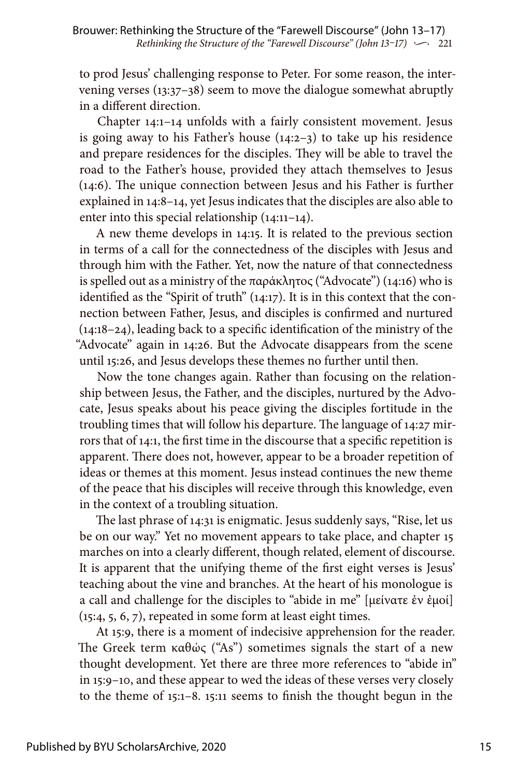to prod Jesus' challenging response to Peter. For some reason, the intervening verses (13:37–38) seem to move the dialogue somewhat abruptly in a different direction.

Chapter 14:1–14 unfolds with a fairly consistent movement. Jesus is going away to his Father's house  $(14:2-3)$  to take up his residence and prepare residences for the disciples. They will be able to travel the road to the Father's house, provided they attach themselves to Jesus (14:6). The unique connection between Jesus and his Father is further explained in 14:8–14, yet Jesus indicates that the disciples are also able to enter into this special relationship (14:11–14).

A new theme develops in 14:15. It is related to the previous section in terms of a call for the connectedness of the disciples with Jesus and through him with the Father. Yet, now the nature of that connectedness is spelled out as a ministry of the παράκλητος ("Advocate") (14:16) who is identified as the "Spirit of truth" (14:17). It is in this context that the connection between Father, Jesus, and disciples is confirmed and nurtured (14:18–24), leading back to a specific identification of the ministry of the "Advocate" again in 14:26. But the Advocate disappears from the scene until 15:26, and Jesus develops these themes no further until then.

Now the tone changes again. Rather than focusing on the relationship between Jesus, the Father, and the disciples, nurtured by the Advocate, Jesus speaks about his peace giving the disciples fortitude in the troubling times that will follow his departure. The language of 14:27 mirrors that of 14:1, the first time in the discourse that a specific repetition is apparent. There does not, however, appear to be a broader repetition of ideas or themes at this moment. Jesus instead continues the new theme of the peace that his disciples will receive through this knowledge, even in the context of a troubling situation.

The last phrase of 14:31 is enigmatic. Jesus suddenly says, "Rise, let us be on our way." Yet no movement appears to take place, and chapter 15 marches on into a clearly different, though related, element of discourse. It is apparent that the unifying theme of the first eight verses is Jesus' teaching about the vine and branches. At the heart of his monologue is a call and challenge for the disciples to "abide in me" [μείνατε ἐν ἐμοί] (15:4, 5, 6, 7), repeated in some form at least eight times.

At 15:9, there is a moment of indecisive apprehension for the reader. The Greek term καθώς ("As") sometimes signals the start of a new thought development. Yet there are three more references to "abide in" in 15:9–10, and these appear to wed the ideas of these verses very closely to the theme of 15:1–8. 15:11 seems to finish the thought begun in the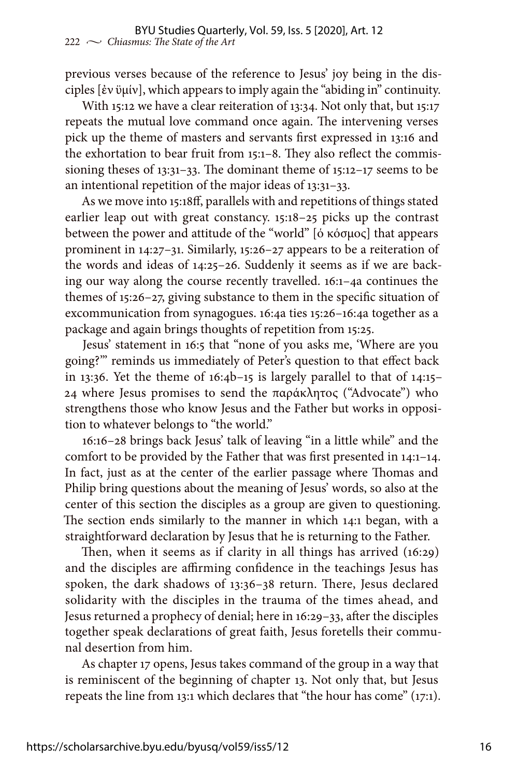previous verses because of the reference to Jesus' joy being in the disciples [ἐν ϋμίν], which appears to imply again the "abiding in" continuity.

With 15:12 we have a clear reiteration of 13:34. Not only that, but 15:17 repeats the mutual love command once again. The intervening verses pick up the theme of masters and servants first expressed in 13:16 and the exhortation to bear fruit from 15:1–8. They also reflect the commissioning theses of 13:31–33. The dominant theme of 15:12–17 seems to be an intentional repetition of the major ideas of 13:31–33.

As we move into 15:18ff, parallels with and repetitions of things stated earlier leap out with great constancy. 15:18–25 picks up the contrast between the power and attitude of the "world" [ό κόσμος] that appears prominent in 14:27–31. Similarly, 15:26–27 appears to be a reiteration of the words and ideas of 14:25–26. Suddenly it seems as if we are backing our way along the course recently travelled. 16:1–4a continues the themes of 15:26–27, giving substance to them in the specific situation of excommunication from synagogues. 16:4a ties 15:26–16:4a together as a package and again brings thoughts of repetition from 15:25.

Jesus' statement in 16:5 that "none of you asks me, 'Where are you going?'" reminds us immediately of Peter's question to that effect back in 13:36. Yet the theme of 16:4b–15 is largely parallel to that of 14:15– 24 where Jesus promises to send the παράκλητος ("Advocate") who strengthens those who know Jesus and the Father but works in opposition to whatever belongs to "the world."

16:16–28 brings back Jesus' talk of leaving "in a little while" and the comfort to be provided by the Father that was first presented in 14:1–14. In fact, just as at the center of the earlier passage where Thomas and Philip bring questions about the meaning of Jesus' words, so also at the center of this section the disciples as a group are given to questioning. The section ends similarly to the manner in which 14:1 began, with a straightforward declaration by Jesus that he is returning to the Father.

Then, when it seems as if clarity in all things has arrived (16:29) and the disciples are affirming confidence in the teachings Jesus has spoken, the dark shadows of 13:36–38 return. There, Jesus declared solidarity with the disciples in the trauma of the times ahead, and Jesus returned a prophecy of denial; here in 16:29–33, after the disciples together speak declarations of great faith, Jesus foretells their communal desertion from him.

As chapter 17 opens, Jesus takes command of the group in a way that is reminiscent of the beginning of chapter 13. Not only that, but Jesus repeats the line from 13:1 which declares that "the hour has come" (17:1).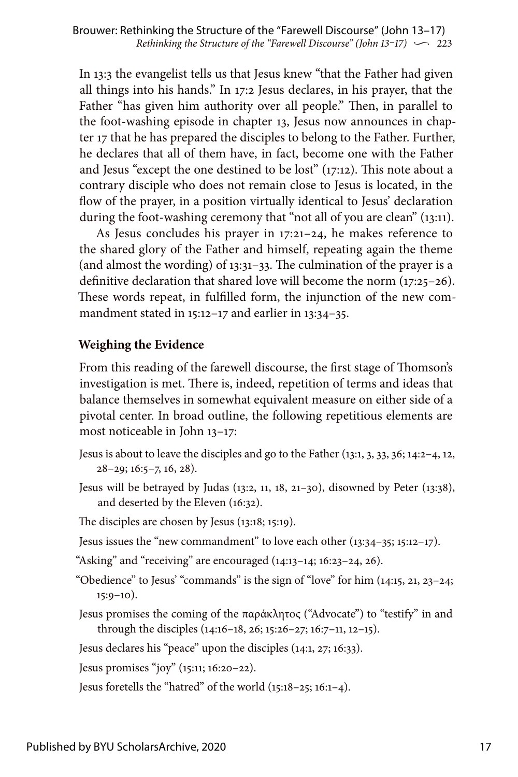In 13:3 the evangelist tells us that Jesus knew "that the Father had given all things into his hands." In 17:2 Jesus declares, in his prayer, that the Father "has given him authority over all people." Then, in parallel to the foot-washing episode in chapter 13, Jesus now announces in chapter 17 that he has prepared the disciples to belong to the Father. Further, he declares that all of them have, in fact, become one with the Father and Jesus "except the one destined to be lost" (17:12). This note about a contrary disciple who does not remain close to Jesus is located, in the flow of the prayer, in a position virtually identical to Jesus' declaration during the foot-washing ceremony that "not all of you are clean" (13:11).

As Jesus concludes his prayer in 17:21–24, he makes reference to the shared glory of the Father and himself, repeating again the theme (and almost the wording) of 13:31–33. The culmination of the prayer is a definitive declaration that shared love will become the norm (17:25–26). These words repeat, in fulfilled form, the injunction of the new commandment stated in 15:12–17 and earlier in 13:34–35.

# **Weighing the Evidence**

From this reading of the farewell discourse, the first stage of Thomson's investigation is met. There is, indeed, repetition of terms and ideas that balance themselves in somewhat equivalent measure on either side of a pivotal center. In broad outline, the following repetitious elements are most noticeable in John 13–17:

Jesus is about to leave the disciples and go to the Father (13:1, 3, 33, 36; 14:2–4, 12, 28–29; 16:5–7, 16, 28).

Jesus will be betrayed by Judas (13:2, 11, 18, 21–30), disowned by Peter (13:38), and deserted by the Eleven (16:32).

The disciples are chosen by Jesus (13:18; 15:19).

Jesus issues the "new commandment" to love each other (13:34–35; 15:12–17).

"Asking" and "receiving" are encouraged (14:13–14; 16:23–24, 26).

- "Obedience" to Jesus' "commands" is the sign of "love" for him (14:15, 21, 23–24; 15:9–10).
- Jesus promises the coming of the παράκλητος ("Advocate") to "testify" in and through the disciples (14:16–18, 26; 15:26–27; 16:7–11, 12–15).

Jesus declares his "peace" upon the disciples (14:1, 27; 16:33).

Jesus promises "joy" (15:11; 16:20–22).

Jesus foretells the "hatred" of the world (15:18–25; 16:1–4).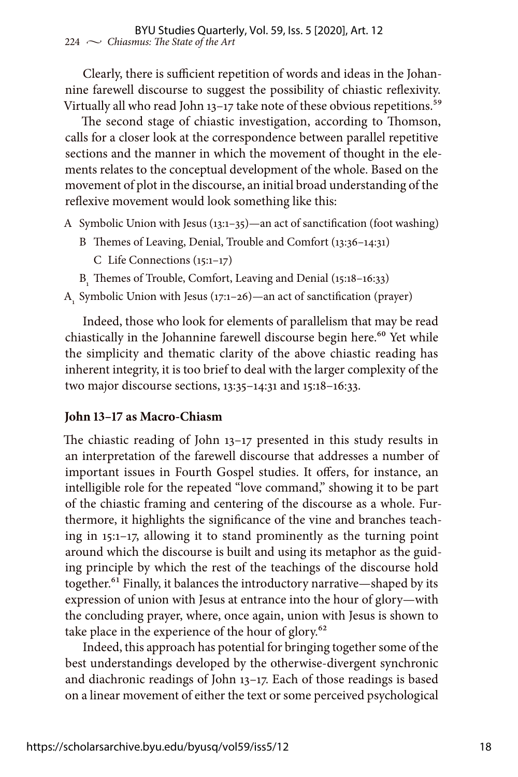Clearly, there is sufficient repetition of words and ideas in the Johannine farewell discourse to suggest the possibility of chiastic reflexivity. Virtually all who read John 13-17 take note of these obvious repetitions.<sup>59</sup>

The second stage of chiastic investigation, according to Thomson, calls for a closer look at the correspondence between parallel repetitive sections and the manner in which the movement of thought in the elements relates to the conceptual development of the whole. Based on the movement of plot in the discourse, an initial broad understanding of the reflexive movement would look something like this:

- A Symbolic Union with Jesus (13:1–35)—an act of sanctification (foot washing)
	- B Themes of Leaving, Denial, Trouble and Comfort (13:36–14:31) C Life Connections (15:1–17)
	- B<sub>1</sub> Themes of Trouble, Comfort, Leaving and Denial (15:18-16:33)
- A<sub>1</sub> Symbolic Union with Jesus (17:1-26)—an act of sanctification (prayer)

Indeed, those who look for elements of parallelism that may be read chiastically in the Johannine farewell discourse begin here.<sup>60</sup> Yet while the simplicity and thematic clarity of the above chiastic reading has inherent integrity, it is too brief to deal with the larger complexity of the two major discourse sections, 13:35–14:31 and 15:18–16:33.

# **John 13–17 as Macro-Chiasm**

The chiastic reading of John 13–17 presented in this study results in an interpretation of the farewell discourse that addresses a number of important issues in Fourth Gospel studies. It offers, for instance, an intelligible role for the repeated "love command," showing it to be part of the chiastic framing and centering of the discourse as a whole. Furthermore, it highlights the significance of the vine and branches teaching in 15:1–17, allowing it to stand prominently as the turning point around which the discourse is built and using its metaphor as the guiding principle by which the rest of the teachings of the discourse hold together.<sup>61</sup> Finally, it balances the introductory narrative—shaped by its expression of union with Jesus at entrance into the hour of glory—with the concluding prayer, where, once again, union with Jesus is shown to take place in the experience of the hour of glory.<sup>62</sup>

Indeed, this approach has potential for bringing together some of the best understandings developed by the otherwise-divergent synchronic and diachronic readings of John 13–17. Each of those readings is based on a linear movement of either the text or some perceived psychological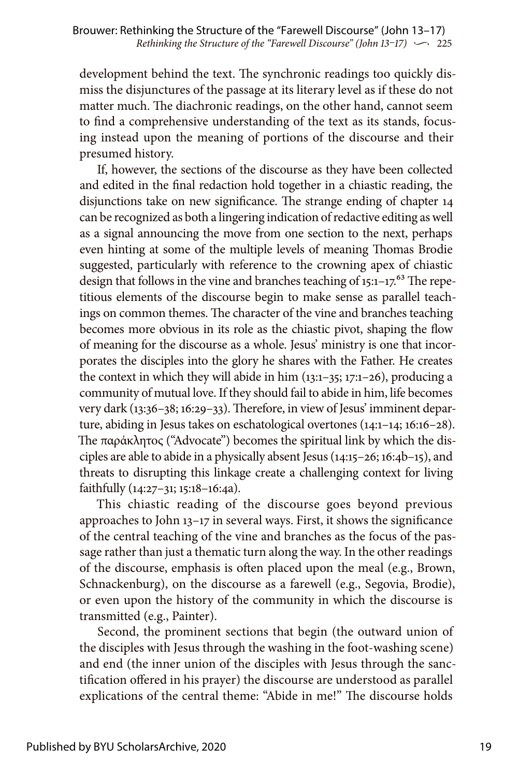development behind the text. The synchronic readings too quickly dismiss the disjunctures of the passage at its literary level as if these do not matter much. The diachronic readings, on the other hand, cannot seem to find a comprehensive understanding of the text as its stands, focusing instead upon the meaning of portions of the discourse and their presumed history.

If, however, the sections of the discourse as they have been collected and edited in the final redaction hold together in a chiastic reading, the disjunctions take on new significance. The strange ending of chapter 14 can be recognized as both a lingering indication of redactive editing as well as a signal announcing the move from one section to the next, perhaps even hinting at some of the multiple levels of meaning Thomas Brodie suggested, particularly with reference to the crowning apex of chiastic design that follows in the vine and branches teaching of  $15:1-17.63$  The repetitious elements of the discourse begin to make sense as parallel teachings on common themes. The character of the vine and branches teaching becomes more obvious in its role as the chiastic pivot, shaping the flow of meaning for the discourse as a whole. Jesus' ministry is one that incorporates the disciples into the glory he shares with the Father. He creates the context in which they will abide in him (13:1–35; 17:1–26), producing a community of mutual love. If they should fail to abide in him, life becomes very dark (13:36–38; 16:29–33). Therefore, in view of Jesus' imminent departure, abiding in Jesus takes on eschatological overtones (14:1–14; 16:16–28). The παράκλητος ("Advocate") becomes the spiritual link by which the disciples are able to abide in a physically absent Jesus (14:15–26; 16:4b–15), and threats to disrupting this linkage create a challenging context for living faithfully (14:27–31; 15:18–16:4a).

This chiastic reading of the discourse goes beyond previous approaches to John 13–17 in several ways. First, it shows the significance of the central teaching of the vine and branches as the focus of the passage rather than just a thematic turn along the way. In the other readings of the discourse, emphasis is often placed upon the meal (e.g., Brown, Schnackenburg), on the discourse as a farewell (e.g., Segovia, Brodie), or even upon the history of the community in which the discourse is transmitted (e.g., Painter).

Second, the prominent sections that begin (the outward union of the disciples with Jesus through the washing in the foot-washing scene) and end (the inner union of the disciples with Jesus through the sanctification offered in his prayer) the discourse are understood as parallel explications of the central theme: "Abide in me!" The discourse holds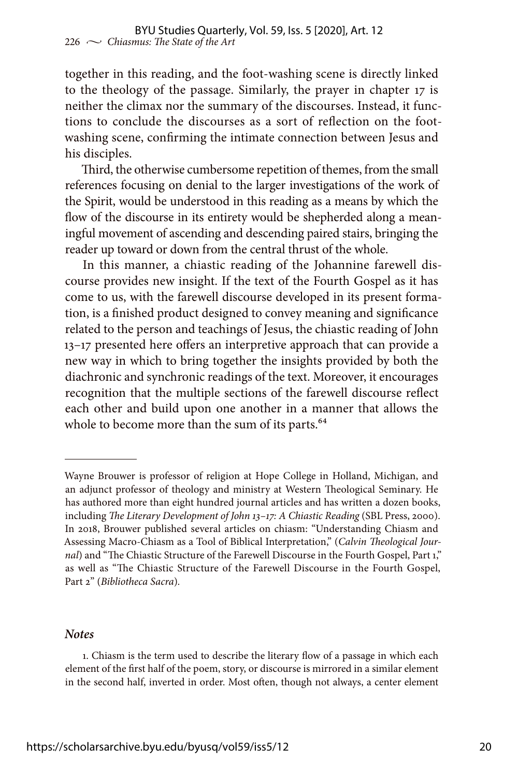together in this reading, and the foot-washing scene is directly linked to the theology of the passage. Similarly, the prayer in chapter 17 is neither the climax nor the summary of the discourses. Instead, it functions to conclude the discourses as a sort of reflection on the footwashing scene, confirming the intimate connection between Jesus and his disciples.

Third, the otherwise cumbersome repetition of themes, from the small references focusing on denial to the larger investigations of the work of the Spirit, would be understood in this reading as a means by which the flow of the discourse in its entirety would be shepherded along a meaningful movement of ascending and descending paired stairs, bringing the reader up toward or down from the central thrust of the whole.

In this manner, a chiastic reading of the Johannine farewell discourse provides new insight. If the text of the Fourth Gospel as it has come to us, with the farewell discourse developed in its present formation, is a finished product designed to convey meaning and significance related to the person and teachings of Jesus, the chiastic reading of John 13–17 presented here offers an interpretive approach that can provide a new way in which to bring together the insights provided by both the diachronic and synchronic readings of the text. Moreover, it encourages recognition that the multiple sections of the farewell discourse reflect each other and build upon one another in a manner that allows the whole to become more than the sum of its parts.<sup>64</sup>

### *Notes*

1. Chiasm is the term used to describe the literary flow of a passage in which each element of the first half of the poem, story, or discourse is mirrored in a similar element in the second half, inverted in order. Most often, though not always, a center element

Wayne Brouwer is professor of religion at Hope College in Holland, Michigan, and an adjunct professor of theology and ministry at Western Theological Seminary. He has authored more than eight hundred journal articles and has written a dozen books, including *The Literary Development of John 13–17: A Chiastic Reading* (SBL Press, 2000). In 2018, Brouwer published several articles on chiasm: "Understanding Chiasm and Assessing Macro-Chiasm as a Tool of Biblical Interpretation," (*Calvin Theological Journal*) and "The Chiastic Structure of the Farewell Discourse in the Fourth Gospel, Part 1," as well as "The Chiastic Structure of the Farewell Discourse in the Fourth Gospel, Part 2" (*Bibliotheca Sacra*)*.*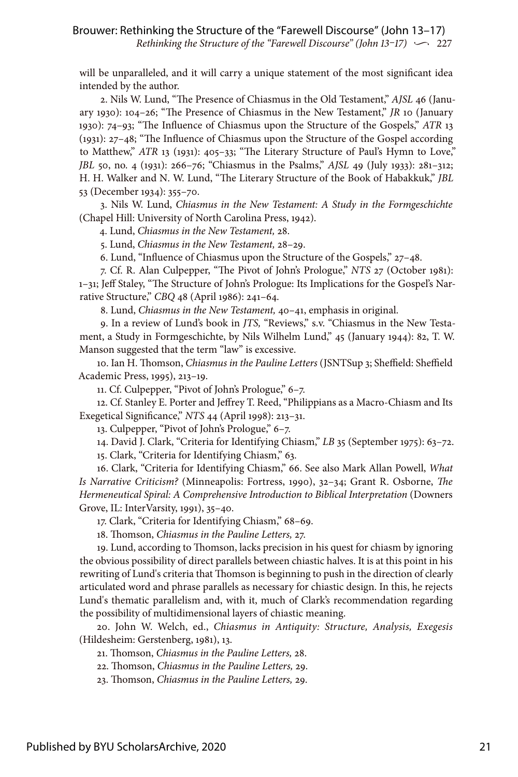will be unparalleled, and it will carry a unique statement of the most significant idea intended by the author.

2. Nils W. Lund, "The Presence of Chiasmus in the Old Testament," *AJSL* 46 (January 1930): 104–26; "The Presence of Chiasmus in the New Testament," *JR* 10 (January 1930): 74–93; "The Influence of Chiasmus upon the Structure of the Gospels," *ATR* 13 (1931): 27–48; "The Influence of Chiasmus upon the Structure of the Gospel according to Matthew," *ATR* 13 (1931): 405-33; "The Literary Structure of Paul's Hymn to Love," *JBL* 50, no. 4 (1931): 266–76; "Chiasmus in the Psalms," *AJSL* 49 (July 1933): 281–312; H. H. Walker and N. W. Lund, "The Literary Structure of the Book of Habakkuk," *JBL* 53 (December 1934): 355–70.

3. Nils W. Lund, *Chiasmus in the New Testament: A Study in the Formgeschichte* (Chapel Hill: University of North Carolina Press, 1942).

4. Lund, *Chiasmus in the New Testament,* 28.

5. Lund, *Chiasmus in the New Testament,* 28–29.

6. Lund, "Influence of Chiasmus upon the Structure of the Gospels," 27–48.

7. Cf. R. Alan Culpepper, "The Pivot of John's Prologue," *NTS* 27 (October 1981): 1–31; Jeff Staley, "The Structure of John's Prologue: Its Implications for the Gospel's Narrative Structure," *CBQ* 48 (April 1986): 241–64.

8. Lund, *Chiasmus in the New Testament,* 40–41, emphasis in original.

9. In a review of Lund's book in *JTS,* "Reviews," s.v. "Chiasmus in the New Testament, a Study in Formgeschichte, by Nils Wilhelm Lund," 45 (January 1944): 82, T. W. Manson suggested that the term "law" is excessive.

10. Ian H. Thomson, *Chiasmus in the Pauline Letters* (JSNTSup 3; Sheffield: Sheffield Academic Press, 1995), 213–19.

11. Cf. Culpepper, "Pivot of John's Prologue," 6–7.

12. Cf. Stanley E. Porter and Jeffrey T. Reed, "Philippians as a Macro-Chiasm and Its Exegetical Significance," *NTS* 44 (April 1998): 213–31.

13. Culpepper, "Pivot of John's Prologue," 6–7.

14. David J. Clark, "Criteria for Identifying Chiasm," *LB* 35 (September 1975): 63–72.

15. Clark, "Criteria for Identifying Chiasm," 63.

16. Clark, "Criteria for Identifying Chiasm," 66. See also Mark Allan Powell, *What Is Narrative Criticism?* (Minneapolis: Fortress, 1990), 32–34; Grant R. Osborne, *The Hermeneutical Spiral: A Comprehensive Introduction to Biblical Interpretation* (Downers Grove, IL: InterVarsity, 1991), 35–40.

17. Clark, "Criteria for Identifying Chiasm," 68–69.

18. Thomson, *Chiasmus in the Pauline Letters,* 27.

19. Lund, according to Thomson, lacks precision in his quest for chiasm by ignoring the obvious possibility of direct parallels between chiastic halves. It is at this point in his rewriting of Lund's criteria that Thomson is beginning to push in the direction of clearly articulated word and phrase parallels as necessary for chiastic design. In this, he rejects Lund's thematic parallelism and, with it, much of Clark's recommendation regarding the possibility of multidimensional layers of chiastic meaning.

20. John W. Welch, ed., *Chiasmus in Antiquity: Structure, Analysis, Exegesis* (Hildesheim: Gerstenberg, 1981), 13.

21. Thomson, *Chiasmus in the Pauline Letters,* 28.

22. Thomson, *Chiasmus in the Pauline Letters,* 29.

23. Thomson, *Chiasmus in the Pauline Letters,* 29.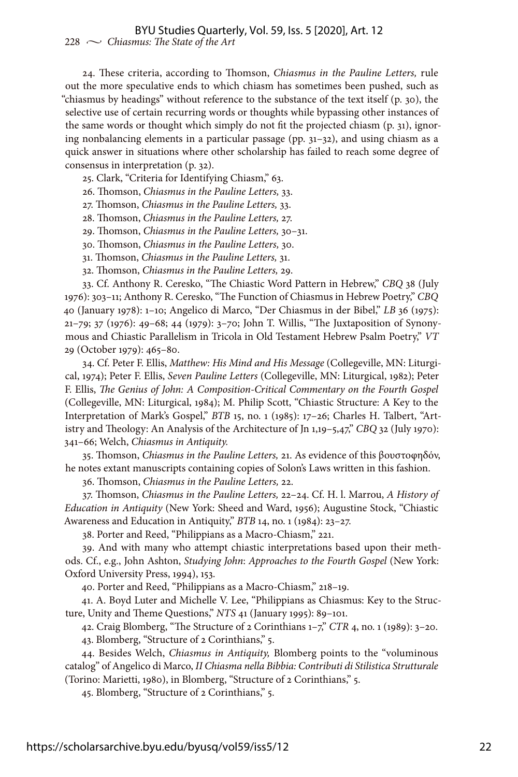24. These criteria, according to Thomson, *Chiasmus in the Pauline Letters,* rule out the more speculative ends to which chiasm has sometimes been pushed, such as "chiasmus by headings" without reference to the substance of the text itself (p. 30), the selective use of certain recurring words or thoughts while bypassing other instances of the same words or thought which simply do not fit the projected chiasm (p. 31), ignoring nonbalancing elements in a particular passage (pp.  $31-32$ ), and using chiasm as a quick answer in situations where other scholarship has failed to reach some degree of consensus in interpretation (p. 32).

25. Clark, "Criteria for Identifying Chiasm," 63.

26. Thomson, *Chiasmus in the Pauline Letters,* 33.

27. Thomson, *Chiasmus in the Pauline Letters,* 33.

28. Thomson, *Chiasmus in the Pauline Letters,* 27.

29. Thomson, *Chiasmus in the Pauline Letters,* 30–31.

30. Thomson, *Chiasmus in the Pauline Letters,* 30.

31. Thomson, *Chiasmus in the Pauline Letters,* 31.

32. Thomson, *Chiasmus in the Pauline Letters,* 29.

33. Cf. Anthony R. Ceresko, "The Chiastic Word Pattern in Hebrew," *CBQ* 38 (July 1976): 303–11; Anthony R. Ceresko, "The Function of Chiasmus in Hebrew Poetry," *CBQ* 40 (January 1978): 1–10; Angelico di Marco, "Der Chiasmus in der Bibel," *LB* 36 (1975): 21–79; 37 (1976): 49–68; 44 (1979): 3–70; John T. Willis, "The Juxtaposition of Synonymous and Chiastic Parallelism in Tricola in Old Testament Hebrew Psalm Poetry," *VT* 29 (October 1979): 465–80.

34. Cf. Peter F. Ellis, *Matthew: His Mind and His Message* (Collegeville, MN: Liturgical, 1974); Peter F. Ellis, *Seven Pauline Letters* (Collegeville, MN: Liturgical, 1982); Peter F. Ellis, *The Genius of John: A Composition-Critical Commentary on the Fourth Gospel*  (Collegeville, MN: Liturgical, 1984); M. Philip Scott, "Chiastic Structure: A Key to the Interpretation of Mark's Gospel," *BTB* 15, no. 1 (1985): 17–26; Charles H. Talbert, "Artistry and Theology: An Analysis of the Architecture of Jn 1,19–5,47," *CBQ* 32 (July 1970): 341–66; Welch, *Chiasmus in Antiquity.*

35. Thomson, *Chiasmus in the Pauline Letters,* 21. As evidence of this βουστοφηδόν, he notes extant manuscripts containing copies of Solon's Laws written in this fashion.

36. Thomson, *Chiasmus in the Pauline Letters,* 22.

37. Thomson, *Chiasmus in the Pauline Letters,* 22–24. Cf. H. l. Marrou, *A History of Education in Antiquity* (New York: Sheed and Ward, 1956); Augustine Stock, "Chiastic Awareness and Education in Antiquity," *BTB* 14, no. 1 (1984): 23–27.

38. Porter and Reed, "Philippians as a Macro-Chiasm," 221.

39. And with many who attempt chiastic interpretations based upon their methods. Cf., e.g., John Ashton, *Studying John*: *Approaches to the Fourth Gospel* (New York: Oxford University Press, 1994), 153.

40. Porter and Reed, "Philippians as a Macro-Chiasm," 218–19.

41. A. Boyd Luter and Michelle V. Lee, "Philippians as Chiasmus: Key to the Structure, Unity and Theme Questions," *NTS* 41 (January 1995): 89–101.

42. Craig Blomberg, "The Structure of 2 Corinthians 1–7," *CTR* 4, no. 1 (1989): 3–20. 43. Blomberg, "Structure of 2 Corinthians," 5.

44. Besides Welch, *Chiasmus in Antiquity,* Blomberg points to the "voluminous catalog" of Angelico di Marco, *II Chiasma nella Bibbia: Contributi di Stilistica Strutturale* (Torino: Marietti, 1980), in Blomberg, "Structure of 2 Corinthians," 5.

45. Blomberg, "Structure of 2 Corinthians," 5.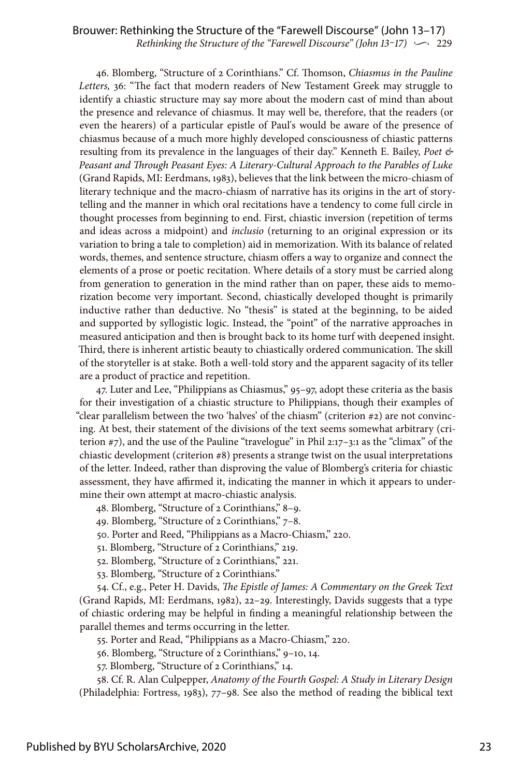#### *Rethinking the Structure of the "Farewell Discourse" (John 13-17)*  $\sim$  229 Brouwer: Rethinking the Structure of the "Farewell Discourse" (John 13–17)

46. Blomberg, "Structure of 2 Corinthians." Cf. Thomson, *Chiasmus in the Pauline Letters,* 36: "The fact that modern readers of New Testament Greek may struggle to identify a chiastic structure may say more about the modern cast of mind than about the presence and relevance of chiasmus. It may well be, therefore, that the readers (or even the hearers) of a particular epistle of Paul's would be aware of the presence of chiasmus because of a much more highly developed consciousness of chiastic patterns resulting from its prevalence in the languages of their day." Kenneth E. Bailey, *Poet & Peasant and Through Peasant Eyes: A Literary-Cultural Approach to the Parables of Luke* (Grand Rapids, MI: Eerdmans, 1983), believes that the link between the micro-chiasm of literary technique and the macro-chiasm of narrative has its origins in the art of storytelling and the manner in which oral recitations have a tendency to come full circle in thought processes from beginning to end. First, chiastic inversion (repetition of terms and ideas across a midpoint) and *inclusio* (returning to an original expression or its variation to bring a tale to completion) aid in memorization. With its balance of related words, themes, and sentence structure, chiasm offers a way to organize and connect the elements of a prose or poetic recitation. Where details of a story must be carried along from generation to generation in the mind rather than on paper, these aids to memorization become very important. Second, chiastically developed thought is primarily inductive rather than deductive. No "thesis" is stated at the beginning, to be aided and supported by syllogistic logic. Instead, the "point" of the narrative approaches in measured anticipation and then is brought back to its home turf with deepened insight. Third, there is inherent artistic beauty to chiastically ordered communication. The skill of the storyteller is at stake. Both a well-told story and the apparent sagacity of its teller are a product of practice and repetition.

47. Luter and Lee, "Philippians as Chiasmus," 95–97, adopt these criteria as the basis for their investigation of a chiastic structure to Philippians, though their examples of "clear parallelism between the two 'halves' of the chiasm" (criterion #2) are not convincing. At best, their statement of the divisions of the text seems somewhat arbitrary (criterion #7), and the use of the Pauline "travelogue" in Phil 2:17–3:1 as the "climax" of the chiastic development (criterion #8) presents a strange twist on the usual interpretations of the letter. Indeed, rather than disproving the value of Blomberg's criteria for chiastic assessment, they have affirmed it, indicating the manner in which it appears to undermine their own attempt at macro-chiastic analysis.

48. Blomberg, "Structure of 2 Corinthians," 8–9.

49. Blomberg, "Structure of 2 Corinthians," 7–8.

50. Porter and Reed, "Philippians as a Macro-Chiasm," 220.

51. Blomberg, "Structure of 2 Corinthians," 219.

52. Blomberg, "Structure of 2 Corinthians," 221.

53. Blomberg, "Structure of 2 Corinthians."

54. Cf., e.g., Peter H. Davids, *The Epistle of James: A Commentary on the Greek Text* (Grand Rapids, MI: Eerdmans, 1982), 22–29. Interestingly, Davids suggests that a type of chiastic ordering may be helpful in finding a meaningful relationship between the parallel themes and terms occurring in the letter.

55. Porter and Read, "Philippians as a Macro-Chiasm," 220.

56. Blomberg, "Structure of 2 Corinthians," 9–10, 14.

57. Blomberg, "Structure of 2 Corinthians," 14.

58. Cf. R. Alan Culpepper, *Anatomy of the Fourth Gospel: A Study in Literary Design* (Philadelphia: Fortress, 1983), 77–98. See also the method of reading the biblical text